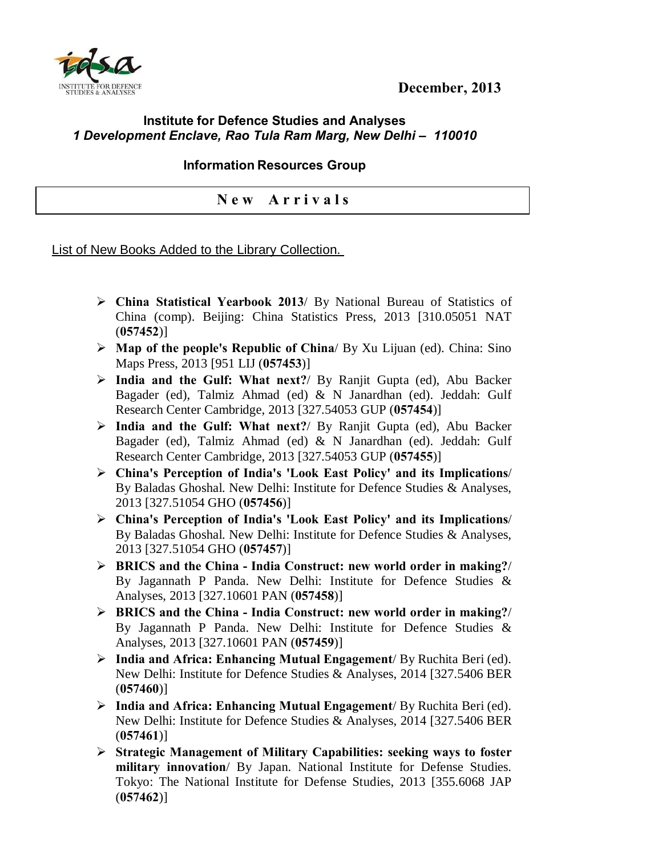



## **Institute for Defence Studies and Analyses** *1 Development Enclave, Rao Tula Ram Marg, New Delhi – 110010*

## **Information Resources Group**

## **N e w A r r i v a l s**

## List of New Books Added to the Library Collection.

- ÿ **China Statistical Yearbook 2013**/ By National Bureau of Statistics of China (comp). Beijing: China Statistics Press, 2013 [310.05051 NAT (**057452**)]
- ÿ **Map of the people's Republic of China**/ By Xu Lijuan (ed). China: Sino Maps Press, 2013 [951 LIJ (**057453**)]
- ÿ **India and the Gulf: What next?**/ By Ranjit Gupta (ed), Abu Backer Bagader (ed), Talmiz Ahmad (ed) & N Janardhan (ed). Jeddah: Gulf Research Center Cambridge, 2013 [327.54053 GUP (**057454**)]
- ÿ **India and the Gulf: What next?**/ By Ranjit Gupta (ed), Abu Backer Bagader (ed), Talmiz Ahmad (ed) & N Janardhan (ed). Jeddah: Gulf Research Center Cambridge, 2013 [327.54053 GUP (**057455**)]
- ÿ **China's Perception of India's 'Look East Policy' and its Implications**/ By Baladas Ghoshal. New Delhi: Institute for Defence Studies & Analyses, 2013 [327.51054 GHO (**057456**)]
- ÿ **China's Perception of India's 'Look East Policy' and its Implications**/ By Baladas Ghoshal. New Delhi: Institute for Defence Studies & Analyses, 2013 [327.51054 GHO (**057457**)]
- ÿ **BRICS and the China - India Construct: new world order in making?**/ By Jagannath P Panda. New Delhi: Institute for Defence Studies & Analyses, 2013 [327.10601 PAN (**057458**)]
- ÿ **BRICS and the China - India Construct: new world order in making?**/ By Jagannath P Panda. New Delhi: Institute for Defence Studies & Analyses, 2013 [327.10601 PAN (**057459**)]
- ÿ **India and Africa: Enhancing Mutual Engagement**/ By Ruchita Beri (ed). New Delhi: Institute for Defence Studies & Analyses, 2014 [327.5406 BER (**057460**)]
- ÿ **India and Africa: Enhancing Mutual Engagement**/ By Ruchita Beri (ed). New Delhi: Institute for Defence Studies & Analyses, 2014 [327.5406 BER (**057461**)]
- ÿ **Strategic Management of Military Capabilities: seeking ways to foster military innovation**/ By Japan. National Institute for Defense Studies. Tokyo: The National Institute for Defense Studies, 2013 [355.6068 JAP (**057462**)]